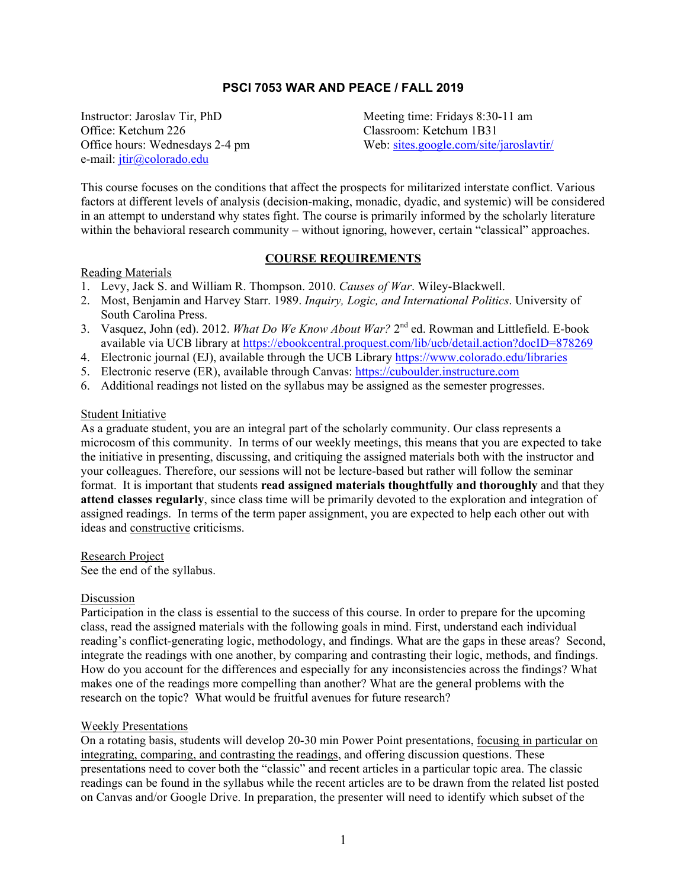## **PSCI 7053 WAR AND PEACE / FALL 2019**

e-mail: [jtir@colorado.edu](mailto:jtir@colorado.edu)

Instructor: Jaroslav Tir, PhD<br>
Office: Ketchum 226<br>
Classroom: Ketchum 1B31 Classroom: Ketchum 1B31 Office hours: Wednesdays 2-4 pm Web: [sites.google.com/site/jaroslavtir/](https://sites.google.com/site/jaroslavtir/)

This course focuses on the conditions that affect the prospects for militarized interstate conflict. Various factors at different levels of analysis (decision-making, monadic, dyadic, and systemic) will be considered in an attempt to understand why states fight. The course is primarily informed by the scholarly literature within the behavioral research community – without ignoring, however, certain "classical" approaches.

#### **COURSE REQUIREMENTS**

#### Reading Materials

- 1. Levy, Jack S. and William R. Thompson. 2010. *Causes of War*. Wiley-Blackwell.
- 2. Most, Benjamin and Harvey Starr. 1989. *Inquiry, Logic, and International Politics*. University of South Carolina Press.
- 3. Vasquez, John (ed). 2012. *What Do We Know About War?* 2nd ed. Rowman and Littlefield. E-book available via UCB library at <https://ebookcentral.proquest.com/lib/ucb/detail.action?docID=878269>
- 4. Electronic journal (EJ), available through the UCB Library <https://www.colorado.edu/libraries>
- 5. Electronic reserve (ER), available through Canvas: [https://cuboulder.instructure.com](https://cuboulder.instructure.com/)
- 6. Additional readings not listed on the syllabus may be assigned as the semester progresses.

#### Student Initiative

As a graduate student, you are an integral part of the scholarly community. Our class represents a microcosm of this community. In terms of our weekly meetings, this means that you are expected to take the initiative in presenting, discussing, and critiquing the assigned materials both with the instructor and your colleagues. Therefore, our sessions will not be lecture-based but rather will follow the seminar format. It is important that students **read assigned materials thoughtfully and thoroughly** and that they **attend classes regularly**, since class time will be primarily devoted to the exploration and integration of assigned readings. In terms of the term paper assignment, you are expected to help each other out with ideas and constructive criticisms.

Research Project

See the end of the syllabus.

#### Discussion

Participation in the class is essential to the success of this course. In order to prepare for the upcoming class, read the assigned materials with the following goals in mind. First, understand each individual reading's conflict-generating logic, methodology, and findings. What are the gaps in these areas? Second, integrate the readings with one another, by comparing and contrasting their logic, methods, and findings. How do you account for the differences and especially for any inconsistencies across the findings? What makes one of the readings more compelling than another? What are the general problems with the research on the topic? What would be fruitful avenues for future research?

#### Weekly Presentations

On a rotating basis, students will develop 20-30 min Power Point presentations, focusing in particular on integrating, comparing, and contrasting the readings, and offering discussion questions. These presentations need to cover both the "classic" and recent articles in a particular topic area. The classic readings can be found in the syllabus while the recent articles are to be drawn from the related list posted on Canvas and/or Google Drive. In preparation, the presenter will need to identify which subset of the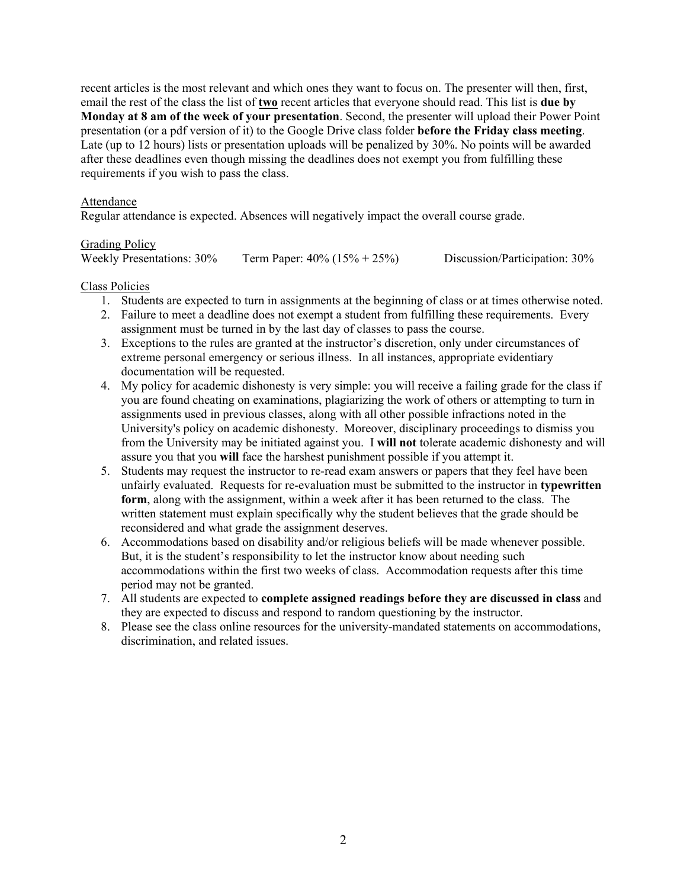recent articles is the most relevant and which ones they want to focus on. The presenter will then, first, email the rest of the class the list of **two** recent articles that everyone should read. This list is **due by Monday at 8 am of the week of your presentation**. Second, the presenter will upload their Power Point presentation (or a pdf version of it) to the Google Drive class folder **before the Friday class meeting**. Late (up to 12 hours) lists or presentation uploads will be penalized by 30%. No points will be awarded after these deadlines even though missing the deadlines does not exempt you from fulfilling these requirements if you wish to pass the class.

## Attendance

Regular attendance is expected. Absences will negatively impact the overall course grade.

## Grading Policy

| <b>Weekly Presentations: 30%</b> | Term Paper: $40\% (15\% + 25\%)$ | Discussion/Participation: 30% |
|----------------------------------|----------------------------------|-------------------------------|
|                                  |                                  |                               |

## Class Policies

- 1. Students are expected to turn in assignments at the beginning of class or at times otherwise noted.
- 2. Failure to meet a deadline does not exempt a student from fulfilling these requirements. Every assignment must be turned in by the last day of classes to pass the course.
- 3. Exceptions to the rules are granted at the instructor's discretion, only under circumstances of extreme personal emergency or serious illness. In all instances, appropriate evidentiary documentation will be requested.
- 4. My policy for academic dishonesty is very simple: you will receive a failing grade for the class if you are found cheating on examinations, plagiarizing the work of others or attempting to turn in assignments used in previous classes, along with all other possible infractions noted in the University's policy on academic dishonesty. Moreover, disciplinary proceedings to dismiss you from the University may be initiated against you. I **will not** tolerate academic dishonesty and will assure you that you **will** face the harshest punishment possible if you attempt it.
- 5. Students may request the instructor to re-read exam answers or papers that they feel have been unfairly evaluated. Requests for re-evaluation must be submitted to the instructor in **typewritten form**, along with the assignment, within a week after it has been returned to the class. The written statement must explain specifically why the student believes that the grade should be reconsidered and what grade the assignment deserves.
- 6. Accommodations based on disability and/or religious beliefs will be made whenever possible. But, it is the student's responsibility to let the instructor know about needing such accommodations within the first two weeks of class. Accommodation requests after this time period may not be granted.
- 7. All students are expected to **complete assigned readings before they are discussed in class** and they are expected to discuss and respond to random questioning by the instructor.
- 8. Please see the class online resources for the university-mandated statements on accommodations, discrimination, and related issues.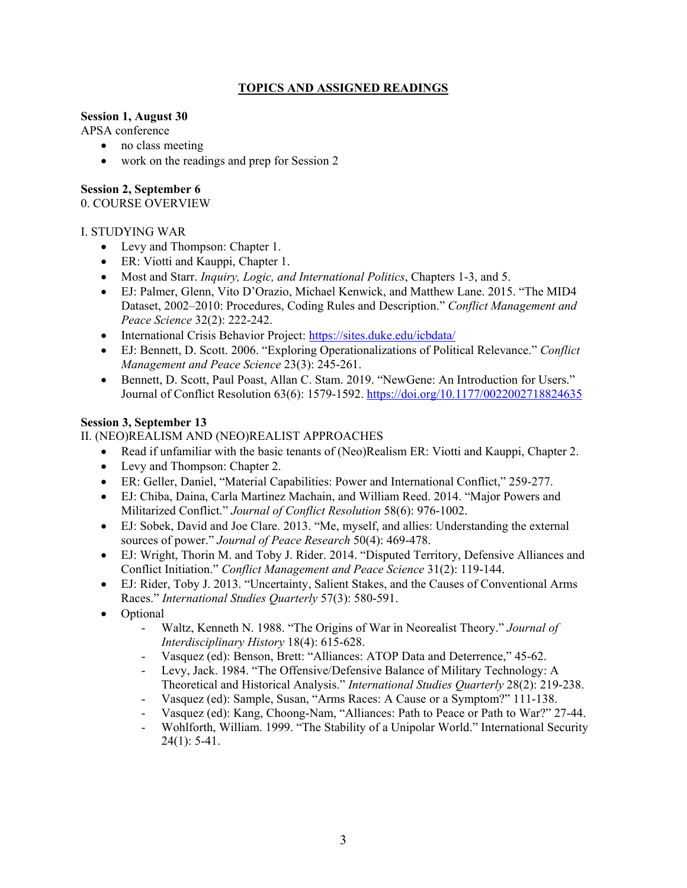## **TOPICS AND ASSIGNED READINGS**

## **Session 1, August 30**

APSA conference

- no class meeting
- work on the readings and prep for Session 2

## **Session 2, September 6**

0. COURSE OVERVIEW

# I. STUDYING WAR

- Levy and Thompson: Chapter 1.
- ER: Viotti and Kauppi, Chapter 1.
- Most and Starr. *Inquiry, Logic, and International Politics*, Chapters 1-3, and 5.
- EJ: Palmer, Glenn, Vito D'Orazio, Michael Kenwick, and Matthew Lane. 2015. "The MID4 Dataset, 2002–2010: Procedures, Coding Rules and Description." *Conflict Management and Peace Science* 32(2): 222-242.
- International Crisis Behavior Project:<https://sites.duke.edu/icbdata/>
- EJ: Bennett, D. Scott. 2006. "Exploring Operationalizations of Political Relevance." *Conflict Management and Peace Science* 23(3): 245-261.
- Bennett, D. Scott, Paul Poast, Allan C. Stam. 2019. "NewGene: An Introduction for Users." Journal of Conflict Resolution 63(6): 1579-1592.<https://doi.org/10.1177/0022002718824635>

# **Session 3, September 13**

# II. (NEO)REALISM AND (NEO)REALIST APPROACHES

- Read if unfamiliar with the basic tenants of (Neo)Realism ER: Viotti and Kauppi, Chapter 2.
- Levy and Thompson: Chapter 2.
- ER: Geller, Daniel, "Material Capabilities: Power and International Conflict," 259-277.
- EJ: Chiba, Daina, Carla Martinez Machain, and William Reed. 2014. "Major Powers and Militarized Conflict." *Journal of Conflict Resolution* 58(6): 976-1002.
- EJ: Sobek, David and Joe Clare. 2013. "Me, myself, and allies: Understanding the external sources of power." *Journal of Peace Research* 50(4): 469-478.
- EJ: Wright, Thorin M. and Toby J. Rider. 2014. "Disputed Territory, Defensive Alliances and Conflict Initiation." *Conflict Management and Peace Science* 31(2): 119-144.
- EJ: Rider, Toby J. 2013. "Uncertainty, Salient Stakes, and the Causes of Conventional Arms Races." *International Studies Quarterly* 57(3): 580-591.
- Optional
	- Waltz, Kenneth N. 1988. "The Origins of War in Neorealist Theory." *Journal of Interdisciplinary History* 18(4): 615-628.
	- Vasquez (ed): Benson, Brett: "Alliances: ATOP Data and Deterrence," 45-62.
	- Levy, Jack. 1984. "The Offensive/Defensive Balance of Military Technology: A Theoretical and Historical Analysis." *International Studies Quarterly* 28(2): 219-238.
	- Vasquez (ed): Sample, Susan, "Arms Races: A Cause or a Symptom?" 111-138.
	- Vasquez (ed): Kang, Choong-Nam, "Alliances: Path to Peace or Path to War?" 27-44.
	- Wohlforth, William. 1999. "The Stability of a Unipolar World." International Security  $24(1)$ : 5-41.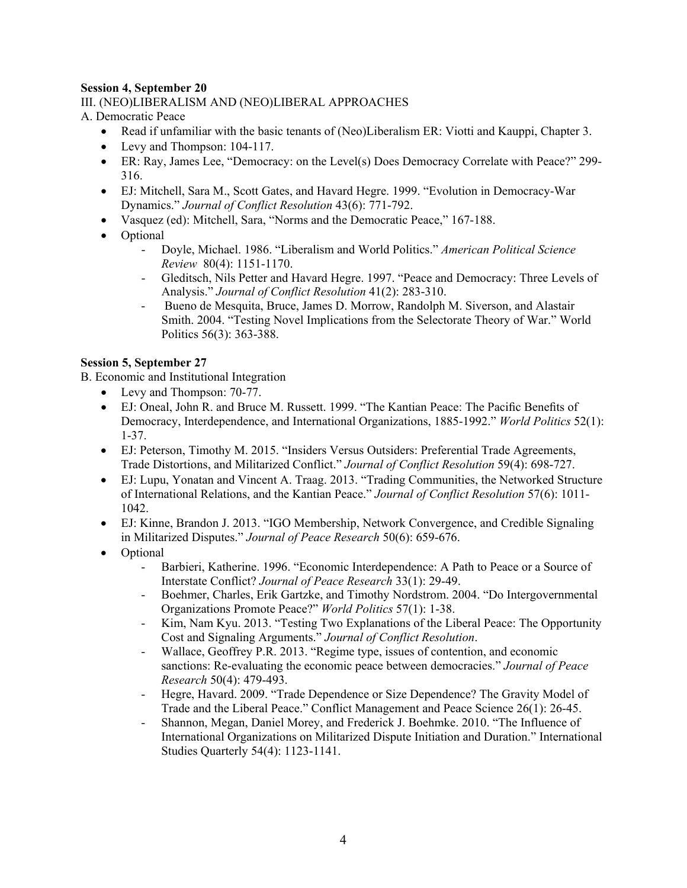# **Session 4, September 20**

## III. (NEO)LIBERALISM AND (NEO)LIBERAL APPROACHES

A. Democratic Peace

- Read if unfamiliar with the basic tenants of (Neo)Liberalism ER: Viotti and Kauppi, Chapter 3.
- Levy and Thompson: 104-117.
- ER: Ray, James Lee, "Democracy: on the Level(s) Does Democracy Correlate with Peace?" 299- 316.
- EJ: Mitchell, Sara M., Scott Gates, and Havard Hegre. 1999. "Evolution in Democracy-War Dynamics." *Journal of Conflict Resolution* 43(6): 771-792.
- Vasquez (ed): Mitchell, Sara, "Norms and the Democratic Peace," 167-188.
- Optional
	- Doyle, Michael. 1986. "Liberalism and World Politics." *American Political Science Review* 80(4): 1151-1170.
	- Gleditsch, Nils Petter and Havard Hegre. 1997. "Peace and Democracy: Three Levels of Analysis." *Journal of Conflict Resolution* 41(2): 283-310.
	- Bueno de Mesquita, Bruce, James D. Morrow, Randolph M. Siverson, and Alastair Smith. 2004. "Testing Novel Implications from the Selectorate Theory of War." World Politics 56(3): 363-388.

## **Session 5, September 27**

B. Economic and Institutional Integration

- Levy and Thompson: 70-77.
- EJ: Oneal, John R. and Bruce M. Russett. 1999. "The Kantian Peace: The Pacific Benefits of Democracy, Interdependence, and International Organizations, 1885-1992." *World Politics* 52(1): 1-37.
- EJ: Peterson, Timothy M. 2015. "Insiders Versus Outsiders: Preferential Trade Agreements, Trade Distortions, and Militarized Conflict." *Journal of Conflict Resolution* 59(4): 698-727.
- EJ: Lupu, Yonatan and Vincent A. Traag. 2013. "Trading Communities, the Networked Structure of International Relations, and the Kantian Peace." *Journal of Conflict Resolution* 57(6): 1011- 1042.
- EJ: Kinne, Brandon J. 2013. "IGO Membership, Network Convergence, and Credible Signaling in Militarized Disputes." *Journal of Peace Research* 50(6): 659-676.
- Optional
	- Barbieri, Katherine. 1996. "Economic Interdependence: A Path to Peace or a Source of Interstate Conflict? *Journal of Peace Research* 33(1): 29-49.
	- Boehmer, Charles, Erik Gartzke, and Timothy Nordstrom. 2004. "Do Intergovernmental Organizations Promote Peace?" *World Politics* 57(1): 1-38.
	- Kim, Nam Kyu. 2013. "Testing Two Explanations of the Liberal Peace: The Opportunity Cost and Signaling Arguments." *Journal of Conflict Resolution*.
	- Wallace, Geoffrey P.R. 2013. "Regime type, issues of contention, and economic sanctions: Re-evaluating the economic peace between democracies." *Journal of Peace Research* 50(4): 479-493.
	- Hegre, Havard. 2009. "Trade Dependence or Size Dependence? The Gravity Model of Trade and the Liberal Peace." Conflict Management and Peace Science 26(1): 26-45.
	- Shannon, Megan, Daniel Morey, and Frederick J. Boehmke. 2010. "The Influence of International Organizations on Militarized Dispute Initiation and Duration." International Studies Quarterly 54(4): 1123-1141.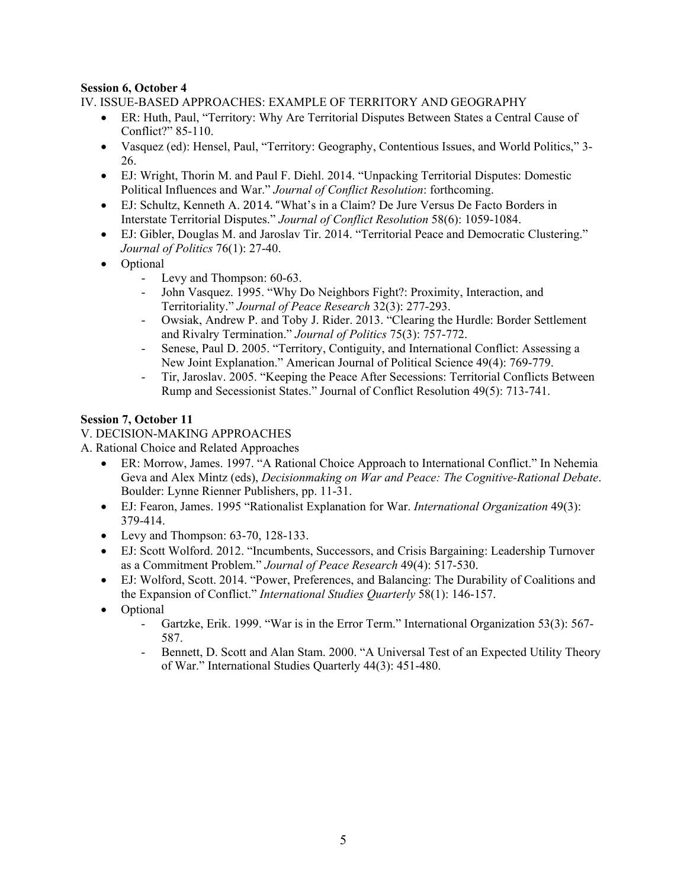# **Session 6, October 4**

IV. ISSUE-BASED APPROACHES: EXAMPLE OF TERRITORY AND GEOGRAPHY

- ER: Huth, Paul, "Territory: Why Are Territorial Disputes Between States a Central Cause of Conflict?" 85-110.
- Vasquez (ed): Hensel, Paul, "Territory: Geography, Contentious Issues, and World Politics," 3- 26.
- EJ: Wright, Thorin M. and Paul F. Diehl. 2014. "Unpacking Territorial Disputes: Domestic Political Influences and War." *Journal of Conflict Resolution*: forthcoming.
- EJ: Schultz, Kenneth A. 2014. "What's in a Claim? De Jure Versus De Facto Borders in Interstate Territorial Disputes." *Journal of Conflict Resolution* 58(6): 1059-1084.
- EJ: Gibler, Douglas M. and Jaroslav Tir. 2014. "Territorial Peace and Democratic Clustering." *Journal of Politics* 76(1): 27-40.
- Optional
	- Levy and Thompson: 60-63.
	- John Vasquez. 1995. "Why Do Neighbors Fight?: Proximity, Interaction, and Territoriality." *Journal of Peace Research* 32(3): 277-293.
	- Owsiak, Andrew P. and Toby J. Rider. 2013. "Clearing the Hurdle: Border Settlement and Rivalry Termination." *Journal of Politics* 75(3): 757-772.
	- Senese, Paul D. 2005. "Territory, Contiguity, and International Conflict: Assessing a New Joint Explanation." American Journal of Political Science 49(4): 769-779.
	- Tir, Jaroslav. 2005. "Keeping the Peace After Secessions: Territorial Conflicts Between Rump and Secessionist States." Journal of Conflict Resolution 49(5): 713-741.

# **Session 7, October 11**

# V. DECISION-MAKING APPROACHES

A. Rational Choice and Related Approaches

- ER: Morrow, James. 1997. "A Rational Choice Approach to International Conflict." In Nehemia Geva and Alex Mintz (eds), *Decisionmaking on War and Peace: The Cognitive-Rational Debate*. Boulder: Lynne Rienner Publishers, pp. 11-31.
- EJ: Fearon, James. 1995 "Rationalist Explanation for War. *International Organization* 49(3): 379-414.
- Levy and Thompson: 63-70, 128-133.
- EJ: Scott Wolford. 2012. "Incumbents, Successors, and Crisis Bargaining: Leadership Turnover as a Commitment Problem." *Journal of Peace Research* 49(4): 517-530.
- EJ: Wolford, Scott. 2014. "Power, Preferences, and Balancing: The Durability of Coalitions and the Expansion of Conflict." *International Studies Quarterly* 58(1): 146-157.
- Optional
	- Gartzke, Erik. 1999. "War is in the Error Term." International Organization 53(3): 567- 587.
	- Bennett, D. Scott and Alan Stam. 2000. "A Universal Test of an Expected Utility Theory of War." International Studies Quarterly 44(3): 451-480.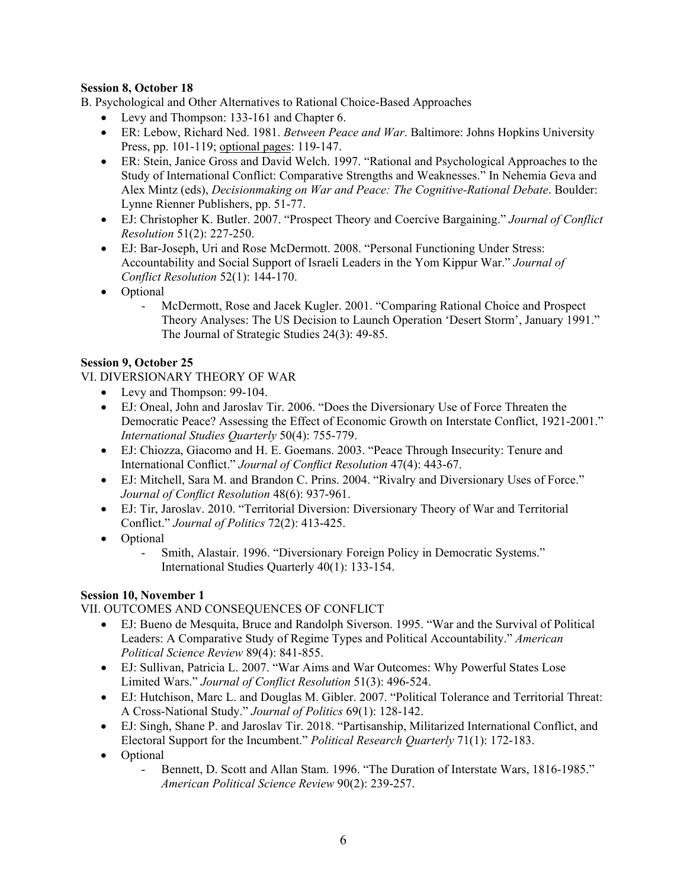# **Session 8, October 18**

B. Psychological and Other Alternatives to Rational Choice-Based Approaches

- Levy and Thompson: 133-161 and Chapter 6.
- ER: Lebow, Richard Ned. 1981. *Between Peace and War*. Baltimore: Johns Hopkins University Press, pp. 101-119; optional pages: 119-147.
- ER: Stein, Janice Gross and David Welch. 1997. "Rational and Psychological Approaches to the Study of International Conflict: Comparative Strengths and Weaknesses." In Nehemia Geva and Alex Mintz (eds), *Decisionmaking on War and Peace: The Cognitive-Rational Debate*. Boulder: Lynne Rienner Publishers, pp. 51-77.
- EJ: Christopher K. Butler. 2007. "Prospect Theory and Coercive Bargaining." *Journal of Conflict Resolution* 51(2): 227-250.
- EJ: Bar-Joseph, Uri and Rose McDermott. 2008. "Personal Functioning Under Stress: Accountability and Social Support of Israeli Leaders in the Yom Kippur War." *Journal of Conflict Resolution* 52(1): 144-170.
- Optional
	- McDermott, Rose and Jacek Kugler. 2001. "Comparing Rational Choice and Prospect Theory Analyses: The US Decision to Launch Operation 'Desert Storm', January 1991." The Journal of Strategic Studies 24(3): 49-85.

## **Session 9, October 25**

VI. DIVERSIONARY THEORY OF WAR

- Levy and Thompson: 99-104.
- EJ: Oneal, John and Jaroslav Tir. 2006. "Does the Diversionary Use of Force Threaten the Democratic Peace? Assessing the Effect of Economic Growth on Interstate Conflict, 1921-2001." *International Studies Quarterly* 50(4): 755-779.
- EJ: Chiozza, Giacomo and H. E. Goemans. 2003. "Peace Through Insecurity: Tenure and International Conflict." *Journal of Conflict Resolution* 47(4): 443-67.
- EJ: Mitchell, Sara M. and Brandon C. Prins. 2004. "Rivalry and Diversionary Uses of Force." *Journal of Conflict Resolution* 48(6): 937-961.
- EJ: Tir, Jaroslav. 2010. "Territorial Diversion: Diversionary Theory of War and Territorial Conflict." *Journal of Politics* 72(2): 413-425.
- Optional
	- Smith, Alastair. 1996. "Diversionary Foreign Policy in Democratic Systems." International Studies Quarterly 40(1): 133-154.

# **Session 10, November 1**

VII. OUTCOMES AND CONSEQUENCES OF CONFLICT

- EJ: Bueno de Mesquita, Bruce and Randolph Siverson. 1995. "War and the Survival of Political Leaders: A Comparative Study of Regime Types and Political Accountability." *American Political Science Review* 89(4): 841-855.
- EJ: Sullivan, Patricia L. 2007. "War Aims and War Outcomes: Why Powerful States Lose Limited Wars." *Journal of Conflict Resolution* 51(3): 496-524.
- EJ: Hutchison, Marc L. and Douglas M. Gibler. 2007. "Political Tolerance and Territorial Threat: A Cross-National Study." *Journal of Politics* 69(1): 128-142.
- EJ: Singh, Shane P. and Jaroslav Tir. 2018. "Partisanship, Militarized International Conflict, and Electoral Support for the Incumbent." *Political Research Quarterly* 71(1): 172-183.
- Optional
	- Bennett, D. Scott and Allan Stam. 1996. "The Duration of Interstate Wars, 1816-1985." *American Political Science Review* 90(2): 239-257.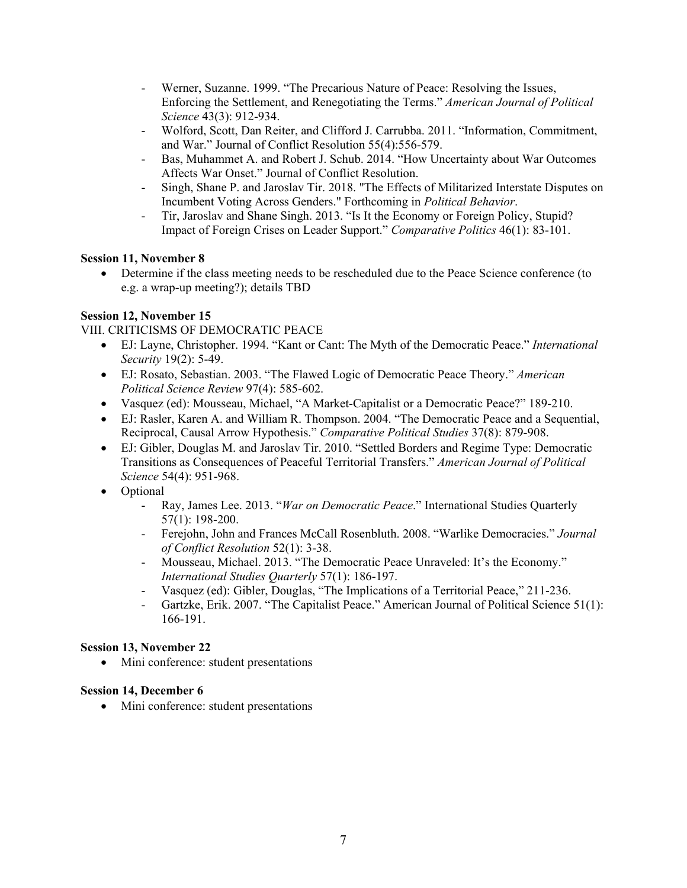- Werner, Suzanne. 1999. "The Precarious Nature of Peace: Resolving the Issues, Enforcing the Settlement, and Renegotiating the Terms." *American Journal of Political Science* 43(3): 912-934.
- Wolford, Scott, Dan Reiter, and Clifford J. Carrubba. 2011. "Information, Commitment, and War." Journal of Conflict Resolution 55(4):556-579.
- Bas, Muhammet A. and Robert J. Schub. 2014. "How Uncertainty about War Outcomes Affects War Onset." Journal of Conflict Resolution.
- Singh, Shane P. and Jaroslav Tir. 2018. "The Effects of Militarized Interstate Disputes on Incumbent Voting Across Genders." Forthcoming in *Political Behavior*.
- Tir, Jaroslav and Shane Singh. 2013. "Is It the Economy or Foreign Policy, Stupid? Impact of Foreign Crises on Leader Support." *Comparative Politics* 46(1): 83-101.

# **Session 11, November 8**

• Determine if the class meeting needs to be rescheduled due to the Peace Science conference (to e.g. a wrap-up meeting?); details TBD

# **Session 12, November 15**

VIII. CRITICISMS OF DEMOCRATIC PEACE

- EJ: Layne, Christopher. 1994. "Kant or Cant: The Myth of the Democratic Peace." *International Security* 19(2): 5-49.
- EJ: Rosato, Sebastian. 2003. "The Flawed Logic of Democratic Peace Theory." *American Political Science Review* 97(4): 585-602.
- Vasquez (ed): Mousseau, Michael, "A Market-Capitalist or a Democratic Peace?" 189-210.
- EJ: Rasler, Karen A. and William R. Thompson. 2004. "The Democratic Peace and a Sequential, Reciprocal, Causal Arrow Hypothesis." *Comparative Political Studies* 37(8): 879-908.
- EJ: Gibler, Douglas M. and Jaroslav Tir. 2010. "Settled Borders and Regime Type: Democratic Transitions as Consequences of Peaceful Territorial Transfers." *American Journal of Political Science* 54(4): 951-968.
- Optional
	- Ray, James Lee. 2013. "*War on Democratic Peace*." International Studies Quarterly 57(1): 198-200.
	- Ferejohn, John and Frances McCall Rosenbluth. 2008. "Warlike Democracies." *Journal of Conflict Resolution* 52(1): 3-38.
	- Mousseau, Michael. 2013. "The Democratic Peace Unraveled: It's the Economy." *International Studies Quarterly* 57(1): 186-197.
	- Vasquez (ed): Gibler, Douglas, "The Implications of a Territorial Peace," 211-236.
	- Gartzke, Erik. 2007. "The Capitalist Peace." American Journal of Political Science 51(1): 166-191.

# **Session 13, November 22**

• Mini conference: student presentations

# **Session 14, December 6**

• Mini conference: student presentations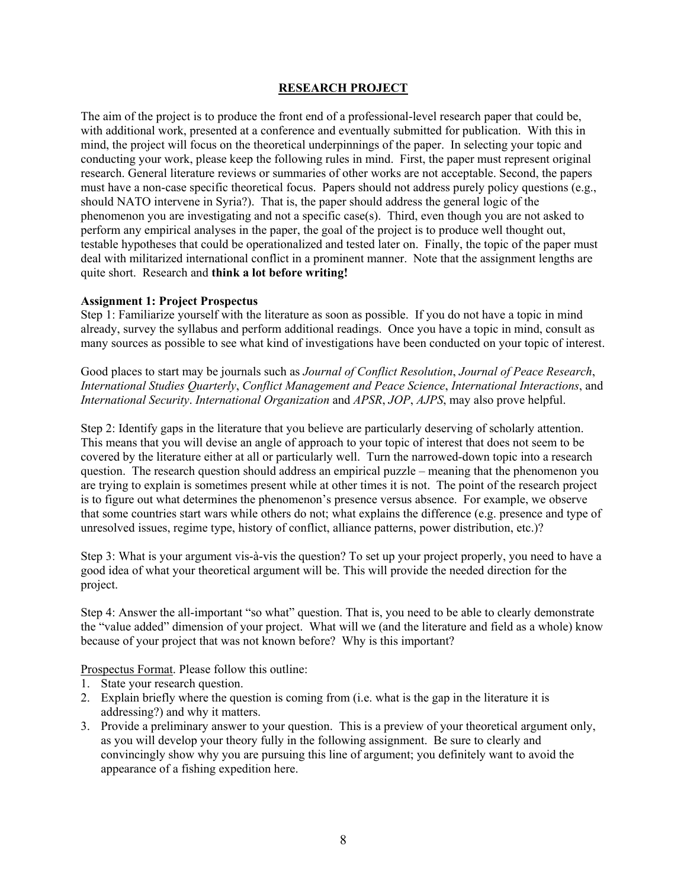## **RESEARCH PROJECT**

The aim of the project is to produce the front end of a professional-level research paper that could be, with additional work, presented at a conference and eventually submitted for publication. With this in mind, the project will focus on the theoretical underpinnings of the paper. In selecting your topic and conducting your work, please keep the following rules in mind. First, the paper must represent original research. General literature reviews or summaries of other works are not acceptable. Second, the papers must have a non-case specific theoretical focus. Papers should not address purely policy questions (e.g., should NATO intervene in Syria?). That is, the paper should address the general logic of the phenomenon you are investigating and not a specific case(s). Third, even though you are not asked to perform any empirical analyses in the paper, the goal of the project is to produce well thought out, testable hypotheses that could be operationalized and tested later on. Finally, the topic of the paper must deal with militarized international conflict in a prominent manner. Note that the assignment lengths are quite short. Research and **think a lot before writing!**

#### **Assignment 1: Project Prospectus**

Step 1: Familiarize yourself with the literature as soon as possible. If you do not have a topic in mind already, survey the syllabus and perform additional readings. Once you have a topic in mind, consult as many sources as possible to see what kind of investigations have been conducted on your topic of interest.

Good places to start may be journals such as *Journal of Conflict Resolution*, *Journal of Peace Research*, *International Studies Quarterly*, *Conflict Management and Peace Science*, *International Interactions*, and *International Security*. *International Organization* and *APSR*, *JOP*, *AJPS*, may also prove helpful.

Step 2: Identify gaps in the literature that you believe are particularly deserving of scholarly attention. This means that you will devise an angle of approach to your topic of interest that does not seem to be covered by the literature either at all or particularly well. Turn the narrowed-down topic into a research question. The research question should address an empirical puzzle – meaning that the phenomenon you are trying to explain is sometimes present while at other times it is not. The point of the research project is to figure out what determines the phenomenon's presence versus absence. For example, we observe that some countries start wars while others do not; what explains the difference (e.g. presence and type of unresolved issues, regime type, history of conflict, alliance patterns, power distribution, etc.)?

Step 3: What is your argument vis-à-vis the question? To set up your project properly, you need to have a good idea of what your theoretical argument will be. This will provide the needed direction for the project.

Step 4: Answer the all-important "so what" question. That is, you need to be able to clearly demonstrate the "value added" dimension of your project. What will we (and the literature and field as a whole) know because of your project that was not known before? Why is this important?

Prospectus Format. Please follow this outline:

- 1. State your research question.
- 2. Explain briefly where the question is coming from (i.e. what is the gap in the literature it is addressing?) and why it matters.
- 3. Provide a preliminary answer to your question. This is a preview of your theoretical argument only, as you will develop your theory fully in the following assignment. Be sure to clearly and convincingly show why you are pursuing this line of argument; you definitely want to avoid the appearance of a fishing expedition here.